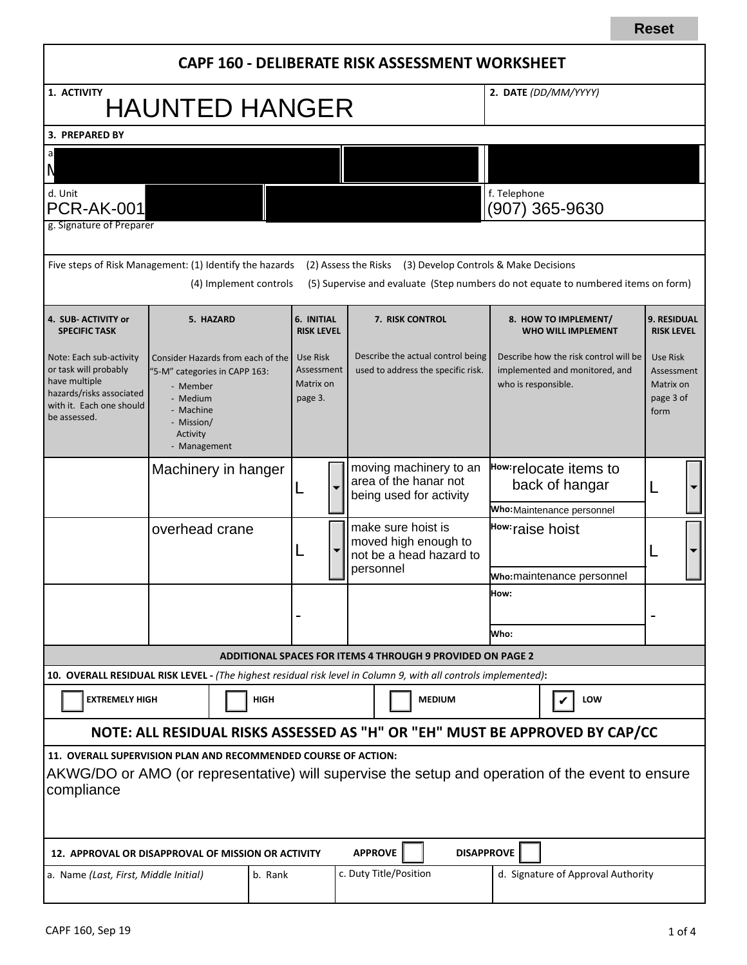|                                                                                                                                                                                  |                                                                                                                                                                                      |  |                                                |                                                                            |                                                                                    | CAPF 160 - DELIBERATE RISK ASSESSMENT WORKSHEET |                                                                                                |                                                   |                                                                                   |  |  |
|----------------------------------------------------------------------------------------------------------------------------------------------------------------------------------|--------------------------------------------------------------------------------------------------------------------------------------------------------------------------------------|--|------------------------------------------------|----------------------------------------------------------------------------|------------------------------------------------------------------------------------|-------------------------------------------------|------------------------------------------------------------------------------------------------|---------------------------------------------------|-----------------------------------------------------------------------------------|--|--|
| 1. ACTIVITY<br><b>HAUNTED HANGER</b>                                                                                                                                             |                                                                                                                                                                                      |  |                                                |                                                                            |                                                                                    |                                                 |                                                                                                | 2. DATE (DD/MM/YYYY)                              |                                                                                   |  |  |
| 3. PREPARED BY                                                                                                                                                                   |                                                                                                                                                                                      |  |                                                |                                                                            |                                                                                    |                                                 |                                                                                                |                                                   |                                                                                   |  |  |
|                                                                                                                                                                                  |                                                                                                                                                                                      |  |                                                |                                                                            |                                                                                    |                                                 |                                                                                                |                                                   |                                                                                   |  |  |
| d. Unit<br><b>PCR-AK-001</b>                                                                                                                                                     |                                                                                                                                                                                      |  |                                                |                                                                            |                                                                                    |                                                 |                                                                                                | f. Telephone                                      | (907) 365-9630                                                                    |  |  |
| g. Signature of Preparer                                                                                                                                                         |                                                                                                                                                                                      |  |                                                |                                                                            |                                                                                    |                                                 |                                                                                                |                                                   |                                                                                   |  |  |
| Five steps of Risk Management: (1) Identify the hazards                                                                                                                          |                                                                                                                                                                                      |  | (4) Implement controls                         |                                                                            |                                                                                    | (2) Assess the Risks                            | (3) Develop Controls & Make Decisions                                                          |                                                   | (5) Supervise and evaluate (Step numbers do not equate to numbered items on form) |  |  |
| 4. SUB-ACTIVITY or<br><b>SPECIFIC TASK</b>                                                                                                                                       | 5. HAZARD                                                                                                                                                                            |  | 6. INITIAL<br><b>RISK LEVEL</b>                |                                                                            | 7. RISK CONTROL                                                                    |                                                 |                                                                                                | 8. HOW TO IMPLEMENT/<br><b>WHO WILL IMPLEMENT</b> | <b>9. RESIDUAL</b><br><b>RISK LEVEL</b>                                           |  |  |
| Note: Each sub-activity<br>or task will probably<br>have multiple<br>hazards/risks associated<br>with it. Each one should<br>be assessed.                                        | Consider Hazards from each of the<br>"5-M" categories in CAPP 163:<br>- Member<br>- Medium<br>- Machine<br>- Mission/<br>Activity<br>- Management                                    |  | Use Risk<br>Assessment<br>Matrix on<br>page 3. |                                                                            | Describe the actual control being<br>used to address the specific risk.            |                                                 | Describe how the risk control will be<br>implemented and monitored, and<br>who is responsible. |                                                   | Use Risk<br>Assessment<br>Matrix on<br>page 3 of<br>form                          |  |  |
|                                                                                                                                                                                  | Machinery in hanger<br>overhead crane                                                                                                                                                |  |                                                | moving machinery to an<br>area of the hanar not<br>being used for activity |                                                                                    |                                                 | How:relocate items to<br>back of hangar<br>Who: Maintenance personnel                          |                                                   |                                                                                   |  |  |
|                                                                                                                                                                                  |                                                                                                                                                                                      |  |                                                |                                                                            | make sure hoist is<br>moved high enough to<br>not be a head hazard to<br>personnel |                                                 | How: raise hoist                                                                               |                                                   |                                                                                   |  |  |
|                                                                                                                                                                                  |                                                                                                                                                                                      |  |                                                |                                                                            |                                                                                    |                                                 | who:maintenance personnel                                                                      |                                                   |                                                                                   |  |  |
|                                                                                                                                                                                  |                                                                                                                                                                                      |  |                                                |                                                                            |                                                                                    |                                                 | How:<br>Who:                                                                                   |                                                   |                                                                                   |  |  |
|                                                                                                                                                                                  |                                                                                                                                                                                      |  |                                                |                                                                            |                                                                                    |                                                 |                                                                                                |                                                   |                                                                                   |  |  |
|                                                                                                                                                                                  | <b>ADDITIONAL SPACES FOR ITEMS 4 THROUGH 9 PROVIDED ON PAGE 2</b><br>10. OVERALL RESIDUAL RISK LEVEL - (The highest residual risk level in Column 9, with all controls implemented): |  |                                                |                                                                            |                                                                                    |                                                 |                                                                                                |                                                   |                                                                                   |  |  |
| <b>EXTREMELY HIGH</b><br><b>HIGH</b>                                                                                                                                             |                                                                                                                                                                                      |  |                                                | <b>MEDIUM</b>                                                              |                                                                                    | LOW<br>V                                        |                                                                                                |                                                   |                                                                                   |  |  |
| NOTE: ALL RESIDUAL RISKS ASSESSED AS "H" OR "EH" MUST BE APPROVED BY CAP/CC                                                                                                      |                                                                                                                                                                                      |  |                                                |                                                                            |                                                                                    |                                                 |                                                                                                |                                                   |                                                                                   |  |  |
| 11. OVERALL SUPERVISION PLAN AND RECOMMENDED COURSE OF ACTION:<br>AKWG/DO or AMO (or representative) will supervise the setup and operation of the event to ensure<br>compliance |                                                                                                                                                                                      |  |                                                |                                                                            |                                                                                    |                                                 |                                                                                                |                                                   |                                                                                   |  |  |
| <b>APPROVE</b><br><b>DISAPPROVE</b><br>12. APPROVAL OR DISAPPROVAL OF MISSION OR ACTIVITY                                                                                        |                                                                                                                                                                                      |  |                                                |                                                                            |                                                                                    |                                                 |                                                                                                |                                                   |                                                                                   |  |  |
| b. Rank<br>a. Name (Last, First, Middle Initial)                                                                                                                                 |                                                                                                                                                                                      |  | c. Duty Title/Position                         |                                                                            |                                                                                    |                                                 |                                                                                                | d. Signature of Approval Authority                |                                                                                   |  |  |

**Reset**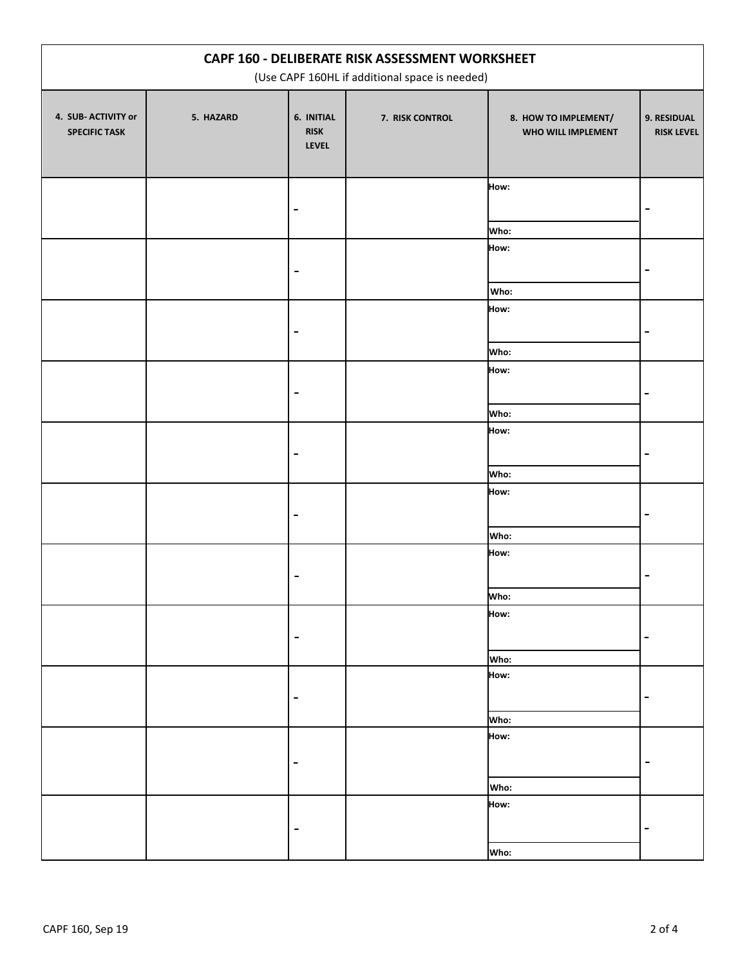| CAPF 160 - DELIBERATE RISK ASSESSMENT WORKSHEET<br>(Use CAPF 160HL if additional space is needed) |           |                                           |                 |                                            |                                  |  |
|---------------------------------------------------------------------------------------------------|-----------|-------------------------------------------|-----------------|--------------------------------------------|----------------------------------|--|
| 4. SUB- ACTIVITY or<br><b>SPECIFIC TASK</b>                                                       | 5. HAZARD | 6. INITIAL<br><b>RISK</b><br><b>LEVEL</b> | 7. RISK CONTROL | 8. HOW TO IMPLEMENT/<br>WHO WILL IMPLEMENT | 9. RESIDUAL<br><b>RISK LEVEL</b> |  |
|                                                                                                   |           |                                           |                 | How:                                       |                                  |  |
|                                                                                                   |           |                                           |                 | Who:<br>How:                               |                                  |  |
|                                                                                                   |           |                                           |                 | Who:<br>How:                               |                                  |  |
|                                                                                                   |           |                                           |                 | Who:<br>How:                               | $\blacksquare$                   |  |
|                                                                                                   |           |                                           |                 | Who:                                       |                                  |  |
|                                                                                                   |           |                                           |                 | How:<br>Who:                               |                                  |  |
|                                                                                                   |           |                                           |                 | How:                                       |                                  |  |
|                                                                                                   |           |                                           |                 | Who:<br>How:                               |                                  |  |
|                                                                                                   |           |                                           |                 | Who:<br>How:                               |                                  |  |
|                                                                                                   |           | -                                         |                 | Who:<br>How:                               | -                                |  |
|                                                                                                   |           | ۰                                         |                 | Who:                                       | -                                |  |
|                                                                                                   |           |                                           |                 | How:                                       | -                                |  |
|                                                                                                   |           |                                           |                 | Who:<br>How:                               |                                  |  |
|                                                                                                   |           |                                           |                 | Who:                                       |                                  |  |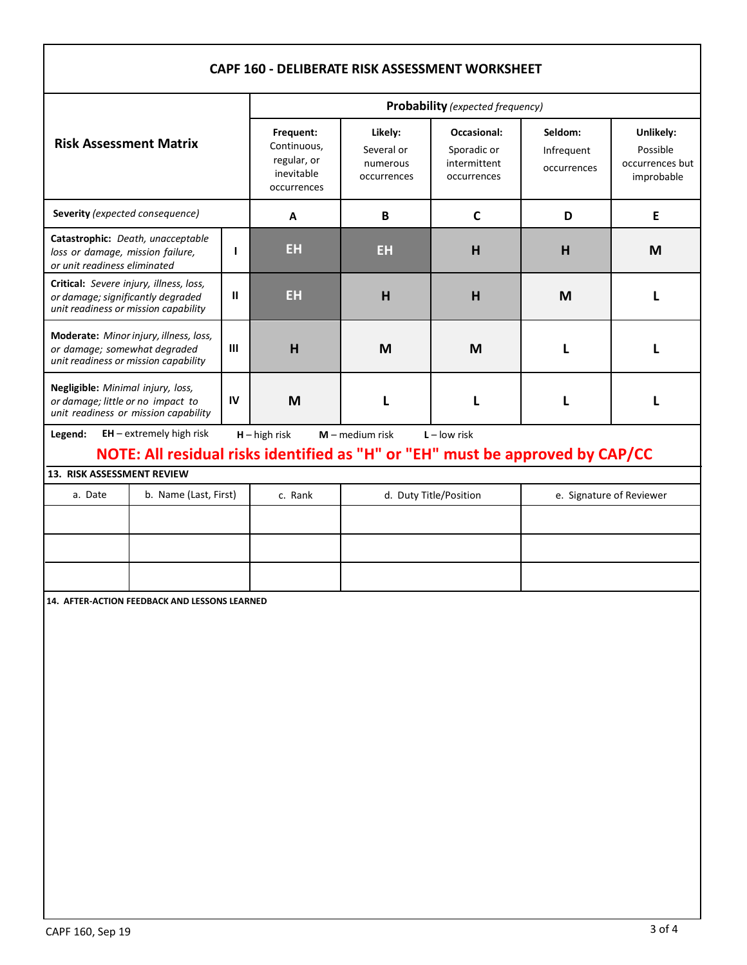## **EH CAPF 160 - DELIBERATE RISK ASSESSMENT WORKSHEET Risk Assessment Matrix Probability** *(expected frequency)* **Frequent:**  Continuous, regular, or inevitable occurrences **Likely:** Several or numerous occurrences **Occasional:** Sporadic or intermittent occurrences **Seldom:**  Infrequent occurrences **Unlikely:** Possible occurrences but improbable **Severity** *(expected consequence)* **A B C D E Catastrophic:** *Death, unacceptable loss or damage, mission failure, or unit readiness eliminated* **I EH EH H H M Critical:** *Severe injury, illness, loss, or damage; significantly degraded unit readiness or mission capability* **II EH H H M L Moderate:** *Minor injury, illness, loss, or damage; somewhat degraded unit readiness or mission capability* **III H M M L L Negligible:** *Minimal injury, loss, or damage; little or no impact to unit readiness or mission capability* **IV M L L L L Legend: EH** – extremely high risk **H** – high risk **M** – medium risk **L** – low risk **13. RISK ASSESSMENT REVIEW** a. Date b. Name (Last, First) c. Rank d. Duty Title/Position e. Signature of Reviewer **14. AFTER-ACTION FEEDBACK AND LESSONS LEARNED NOTE: All residual risks identified as "H" or "EH" must be approved by CAP/CC**